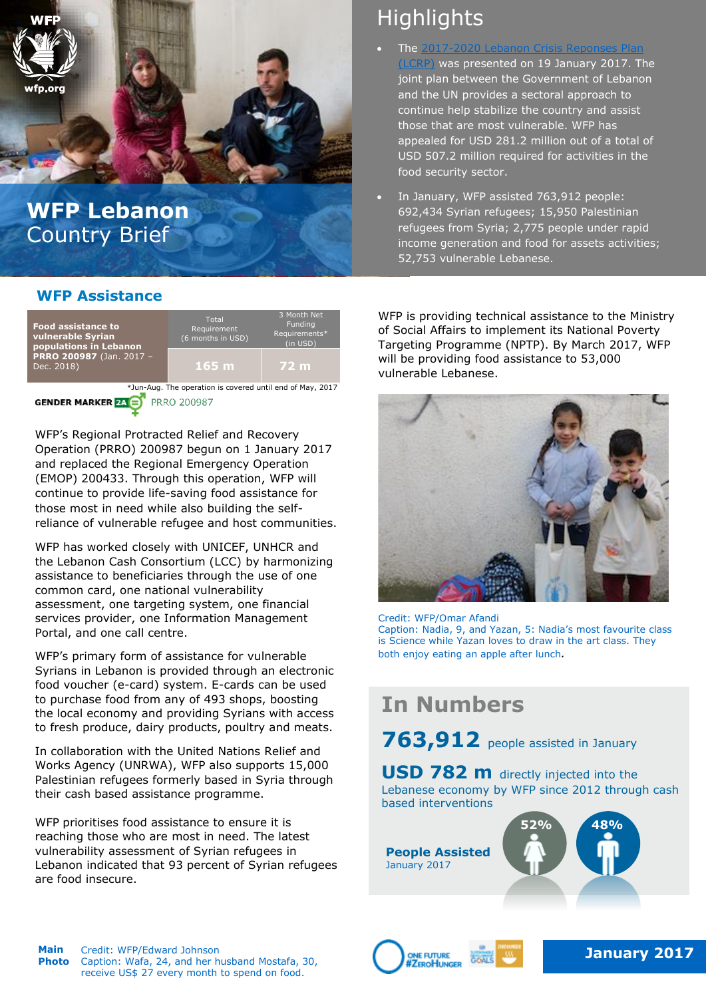

# **WFP Lebanon**  Country Brief

## **WFP Assistance**



WFP's Regional Protracted Relief and Recovery Operation (PRRO) 200987 begun on 1 January 2017 and replaced the Regional Emergency Operation (EMOP) 200433. Through this operation, WFP will continue to provide life-saving food assistance for those most in need while also building the selfreliance of vulnerable refugee and host communities.

WFP has worked closely with UNICEF, UNHCR and the Lebanon Cash Consortium (LCC) by harmonizing assistance to beneficiaries through the use of one common card, one national vulnerability assessment, one targeting system, one financial services provider, one Information Management Portal, and one call centre.

WFP's primary form of assistance for vulnerable Syrians in Lebanon is provided through an electronic food voucher (e-card) system. E-cards can be used to purchase food from any of 493 shops, boosting the local economy and providing Syrians with access to fresh produce, dairy products, poultry and meats.

In collaboration with the United Nations Relief and Works Agency (UNRWA), WFP also supports 15,000 Palestinian refugees formerly based in Syria through their cash based assistance programme.

WFP prioritises food assistance to ensure it is reaching those who are most in need. The latest vulnerability assessment of Syrian refugees in Lebanon indicated that 93 percent of Syrian refugees are food insecure.

# **Highlights**

- The [2017-2020 Lebanon Crisis Reponses Plan](http://www.un.org.lb/library/assets/engbrochfullversion-065158.pdfhttp:/www.un.org.lb/library/assets/engbrochfullversion-065158.pdfhttp:/www.un.org.lb/library/assets/engbrochfullversion-065158.pdf)  [\(LCRP\)](http://www.un.org.lb/library/assets/engbrochfullversion-065158.pdfhttp:/www.un.org.lb/library/assets/engbrochfullversion-065158.pdfhttp:/www.un.org.lb/library/assets/engbrochfullversion-065158.pdf) was presented on 19 January 2017. The joint plan between the Government of Lebanon and the UN provides a sectoral approach to continue help stabilize the country and assist those that are most vulnerable. WFP has appealed for USD 281.2 million out of a total of USD 507.2 million required for activities in the food security sector.
- In January, WFP assisted 763,912 people: 692,434 Syrian refugees; 15,950 Palestinian refugees from Syria; 2,775 people under rapid income generation and food for assets activities; 52,753 vulnerable Lebanese.

WFP is providing technical assistance to the Ministry of Social Affairs to implement its National Poverty Targeting Programme (NPTP). By March 2017, WFP will be providing food assistance to 53,000 vulnerable Lebanese.



#### Credit: WFP/Omar Afandi

Caption: Nadia, 9, and Yazan, 5: Nadia's most favourite class is Science while Yazan loves to draw in the art class. They both enjoy eating an apple after lunch*.*

# **In Numbers**

763,912 people assisted in January

**USD 782 m** directly injected into the Lebanese economy by WFP since 2012 through cash based interventions

**People Assisted** January 2017